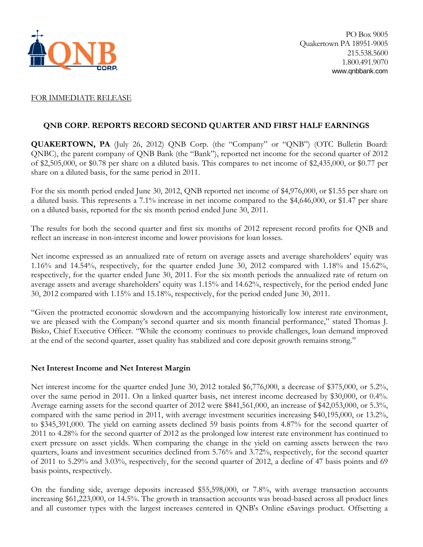

## FOR IMMEDIATE RELEASE

## **QNB CORP. REPORTS RECORD SECOND QUARTER AND FIRST HALF EARNINGS**

**QUAKERTOWN, PA** (July 26, 2012) QNB Corp. (the "Company" or "QNB") (OTC Bulletin Board: QNBC), the parent company of QNB Bank (the "Bank"), reported net income for the second quarter of 2012 of \$2,505,000, or \$0.78 per share on a diluted basis. This compares to net income of \$2,435,000, or \$0.77 per share on a diluted basis, for the same period in 2011.

For the six month period ended June 30, 2012, QNB reported net income of \$4,976,000, or \$1.55 per share on a diluted basis. This represents a 7.1% increase in net income compared to the \$4,646,000, or \$1.47 per share on a diluted basis, reported for the six month period ended June 30, 2011.

The results for both the second quarter and first six months of 2012 represent record profits for QNB and reflect an increase in non-interest income and lower provisions for loan losses.

Net income expressed as an annualized rate of return on average assets and average shareholders' equity was 1.16% and 14.54%, respectively, for the quarter ended June 30, 2012 compared with 1.18% and 15.62%, respectively, for the quarter ended June 30, 2011. For the six month periods the annualized rate of return on average assets and average shareholders' equity was 1.15% and 14.62%, respectively, for the period ended June 30, 2012 compared with 1.15% and 15.18%, respectively, for the period ended June 30, 2011.

"Given the protracted economic slowdown and the accompanying historically low interest rate environment, we are pleased with the Company's second quarter and six month financial performance," stated Thomas J. Bisko, Chief Executive Officer. "While the economy continues to provide challenges, loan demand improved at the end of the second quarter, asset quality has stabilized and core deposit growth remains strong."

## **Net Interest Income and Net Interest Margin**

Net interest income for the quarter ended June 30, 2012 totaled \$6,776,000, a decrease of \$375,000, or 5.2%, over the same period in 2011. On a linked quarter basis, net interest income decreased by \$30,000, or 0.4%. Average earning assets for the second quarter of 2012 were \$841,561,000, an increase of \$42,053,000, or 5.3%, compared with the same period in 2011, with average investment securities increasing \$40,195,000, or 13.2%, to \$345,391,000. The yield on earning assets declined 59 basis points from 4.87% for the second quarter of 2011 to 4.28% for the second quarter of 2012 as the prolonged low interest rate environment has continued to exert pressure on asset yields. When comparing the change in the yield on earning assets between the two quarters, loans and investment securities declined from 5.76% and 3.72%, respectively, for the second quarter of 2011 to 5.29% and 3.03%, respectively, for the second quarter of 2012, a decline of 47 basis points and 69 basis points, respectively.

On the funding side, average deposits increased \$55,598,000, or 7.8%, with average transaction accounts increasing \$61,223,000, or 14.5%. The growth in transaction accounts was broad-based across all product lines and all customer types with the largest increases centered in QNB's Online eSavings product. Offsetting a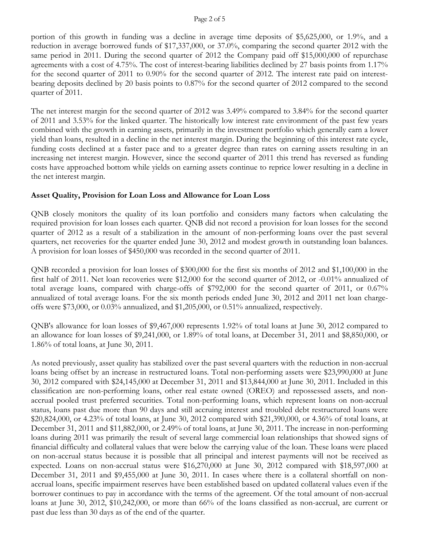#### Page 2 of 5

portion of this growth in funding was a decline in average time deposits of \$5,625,000, or 1.9%, and a reduction in average borrowed funds of \$17,337,000, or 37.0%, comparing the second quarter 2012 with the same period in 2011. During the second quarter of 2012 the Company paid off \$15,000,000 of repurchase agreements with a cost of 4.75%. The cost of interest-bearing liabilities declined by 27 basis points from 1.17% for the second quarter of 2011 to 0.90% for the second quarter of 2012. The interest rate paid on interestbearing deposits declined by 20 basis points to 0.87% for the second quarter of 2012 compared to the second quarter of 2011.

The net interest margin for the second quarter of 2012 was 3.49% compared to 3.84% for the second quarter of 2011 and 3.53% for the linked quarter. The historically low interest rate environment of the past few years combined with the growth in earning assets, primarily in the investment portfolio which generally earn a lower yield than loans, resulted in a decline in the net interest margin. During the beginning of this interest rate cycle, funding costs declined at a faster pace and to a greater degree than rates on earning assets resulting in an increasing net interest margin. However, since the second quarter of 2011 this trend has reversed as funding costs have approached bottom while yields on earning assets continue to reprice lower resulting in a decline in the net interest margin.

## **Asset Quality, Provision for Loan Loss and Allowance for Loan Loss**

QNB closely monitors the quality of its loan portfolio and considers many factors when calculating the required provision for loan losses each quarter. QNB did not record a provision for loan losses for the second quarter of 2012 as a result of a stabilization in the amount of non-performing loans over the past several quarters, net recoveries for the quarter ended June 30, 2012 and modest growth in outstanding loan balances. A provision for loan losses of \$450,000 was recorded in the second quarter of 2011.

QNB recorded a provision for loan losses of \$300,000 for the first six months of 2012 and \$1,100,000 in the first half of 2011. Net loan recoveries were \$12,000 for the second quarter of 2012, or -0.01% annualized of total average loans, compared with charge-offs of \$792,000 for the second quarter of 2011, or 0.67% annualized of total average loans. For the six month periods ended June 30, 2012 and 2011 net loan chargeoffs were \$73,000, or 0.03% annualized, and \$1,205,000, or 0.51% annualized, respectively.

QNB's allowance for loan losses of \$9,467,000 represents 1.92% of total loans at June 30, 2012 compared to an allowance for loan losses of \$9,241,000, or 1.89% of total loans, at December 31, 2011 and \$8,850,000, or 1.86% of total loans, at June 30, 2011.

As noted previously, asset quality has stabilized over the past several quarters with the reduction in non-accrual loans being offset by an increase in restructured loans. Total non-performing assets were \$23,990,000 at June 30, 2012 compared with \$24,145,000 at December 31, 2011 and \$13,844,000 at June 30, 2011. Included in this classification are non-performing loans, other real estate owned (OREO) and repossessed assets, and nonaccrual pooled trust preferred securities. Total non-performing loans, which represent loans on non-accrual status, loans past due more than 90 days and still accruing interest and troubled debt restructured loans were \$20,824,000, or 4.23% of total loans, at June 30, 2012 compared with \$21,390,000, or 4.36% of total loans, at December 31, 2011 and \$11,882,000, or 2.49% of total loans, at June 30, 2011. The increase in non-performing loans during 2011 was primarily the result of several large commercial loan relationships that showed signs of financial difficulty and collateral values that were below the carrying value of the loan. These loans were placed on non-accrual status because it is possible that all principal and interest payments will not be received as expected. Loans on non-accrual status were \$16,270,000 at June 30, 2012 compared with \$18,597,000 at December 31, 2011 and \$9,455,000 at June 30, 2011. In cases where there is a collateral shortfall on nonaccrual loans, specific impairment reserves have been established based on updated collateral values even if the borrower continues to pay in accordance with the terms of the agreement. Of the total amount of non-accrual loans at June 30, 2012, \$10,242,000, or more than 66% of the loans classified as non-accrual, are current or past due less than 30 days as of the end of the quarter.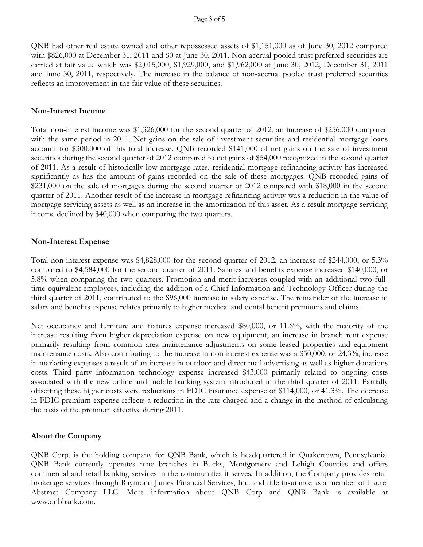QNB had other real estate owned and other repossessed assets of \$1,151,000 as of June 30, 2012 compared with \$826,000 at December 31, 2011 and \$0 at June 30, 2011. Non-accrual pooled trust preferred securities are carried at fair value which was \$2,015,000, \$1,929,000, and \$1,962,000 at June 30, 2012, December 31, 2011 and June 30, 2011, respectively. The increase in the balance of non-accrual pooled trust preferred securities reflects an improvement in the fair value of these securities.

#### **Non-Interest Income**

Total non-interest income was \$1,326,000 for the second quarter of 2012, an increase of \$256,000 compared with the same period in 2011. Net gains on the sale of investment securities and residential mortgage loans account for \$300,000 of this total increase. QNB recorded \$141,000 of net gains on the sale of investment securities during the second quarter of 2012 compared to net gains of \$54,000 recognized in the second quarter of 2011. As a result of historically low mortgage rates, residential mortgage refinancing activity has increased significantly as has the amount of gains recorded on the sale of these mortgages. QNB recorded gains of \$231,000 on the sale of mortgages during the second quarter of 2012 compared with \$18,000 in the second quarter of 2011. Another result of the increase in mortgage refinancing activity was a reduction in the value of mortgage servicing assets as well as an increase in the amortization of this asset. As a result mortgage servicing income declined by \$40,000 when comparing the two quarters.

### **Non-Interest Expense**

Total non-interest expense was \$4,828,000 for the second quarter of 2012, an increase of \$244,000, or 5.3% compared to \$4,584,000 for the second quarter of 2011. Salaries and benefits expense increased \$140,000, or 5.8% when comparing the two quarters. Promotion and merit increases coupled with an additional two fulltime equivalent employees, including the addition of a Chief Information and Technology Officer during the third quarter of 2011, contributed to the \$96,000 increase in salary expense. The remainder of the increase in salary and benefits expense relates primarily to higher medical and dental benefit premiums and claims.

Net occupancy and furniture and fixtures expense increased \$80,000, or 11.6%, with the majority of the increase resulting from higher depreciation expense on new equipment, an increase in branch rent expense primarily resulting from common area maintenance adjustments on some leased properties and equipment maintenance costs. Also contributing to the increase in non-interest expense was a \$50,000, or 24.3%, increase in marketing expenses a result of an increase in outdoor and direct mail advertising as well as higher donations costs. Third party information technology expense increased \$43,000 primarily related to ongoing costs associated with the new online and mobile banking system introduced in the third quarter of 2011. Partially offsetting these higher costs were reductions in FDIC insurance expense of \$114,000, or 41.3%. The decrease in FDIC premium expense reflects a reduction in the rate charged and a change in the method of calculating the basis of the premium effective during 2011.

### **About the Company**

QNB Corp. is the holding company for QNB Bank, which is headquartered in Quakertown, Pennsylvania. QNB Bank currently operates nine branches in Bucks, Montgomery and Lehigh Counties and offers commercial and retail banking services in the communities it serves. In addition, the Company provides retail brokerage services through Raymond James Financial Services, Inc. and title insurance as a member of Laurel Abstract Company LLC. More information about QNB Corp and QNB Bank is available at www.qnbbank.com.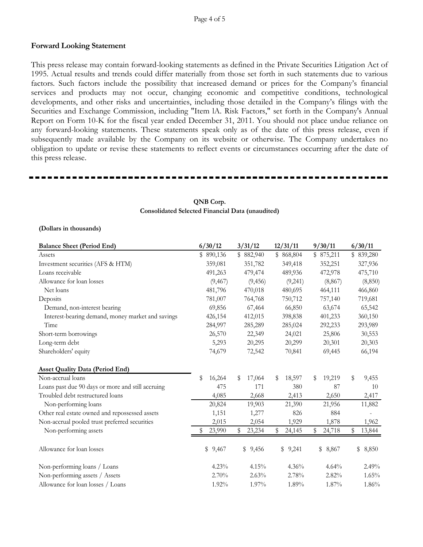### Page 4 of 5

#### **Forward Looking Statement**

This press release may contain forward-looking statements as defined in the Private Securities Litigation Act of 1995. Actual results and trends could differ materially from those set forth in such statements due to various factors. Such factors include the possibility that increased demand or prices for the Company's financial services and products may not occur, changing economic and competitive conditions, technological developments, and other risks and uncertainties, including those detailed in the Company's filings with the Securities and Exchange Commission, including "Item lA. Risk Factors," set forth in the Company's Annual Report on Form 10-K for the fiscal year ended December 31, 2011. You should not place undue reliance on any forward-looking statements. These statements speak only as of the date of this press release, even if subsequently made available by the Company on its website or otherwise. The Company undertakes no obligation to update or revise these statements to reflect events or circumstances occurring after the date of this press release.

| <b>Balance Sheet (Period End)</b>                 | 6/30/12      | 3/31/12      | 12/31/11     | 9/30/11      | 6/30/11      |
|---------------------------------------------------|--------------|--------------|--------------|--------------|--------------|
| Assets                                            | \$890,136    | \$882,940    | \$868,804    | \$875,211    | \$839,280    |
| Investment securities (AFS & HTM)                 | 359,081      | 351,782      | 349,418      | 352,251      | 327,936      |
| Loans receivable                                  | 491,263      | 479,474      | 489,936      | 472,978      | 475,710      |
| Allowance for loan losses                         | (9, 467)     | (9, 456)     | (9,241)      | (8, 867)     | (8, 850)     |
| Net loans                                         | 481,796      | 470,018      | 480,695      | 464,111      | 466,860      |
| Deposits                                          | 781,007      | 764,768      | 750,712      | 757,140      | 719,681      |
| Demand, non-interest bearing                      | 69,856       | 67,464       | 66,850       | 63,674       | 65,542       |
| Interest-bearing demand, money market and savings | 426,154      | 412,015      | 398,838      | 401,233      | 360,150      |
| Time                                              | 284,997      | 285,289      | 285,024      | 292,233      | 293,989      |
| Short-term borrowings                             | 26,570       | 22,349       | 24,021       | 25,806       | 30,553       |
| Long-term debt                                    | 5,293        | 20,295       | 20,299       | 20,301       | 20,303       |
| Shareholders' equity                              | 74,679       | 72,542       | 70,841       | 69,445       | 66,194       |
| <b>Asset Quality Data (Period End)</b>            |              |              |              |              |              |
| Non-accrual loans                                 | \$<br>16,264 | 17,064<br>\$ | 18,597<br>\$ | 19,219<br>\$ | \$<br>9,455  |
| Loans past due 90 days or more and still accruing | 475          | 171          | 380          | 87           | 10           |
| Troubled debt restructured loans                  | 4,085        | 2,668        | 2,413        | 2,650        | 2,417        |
| Non-performing loans                              | 20,824       | 19,903       | 21,390       | 21,956       | 11,882       |
| Other real estate owned and repossessed assets    | 1,151        | 1,277        | 826          | 884          |              |
| Non-accrual pooled trust preferred securities     | 2,015        | 2,054        | 1,929        | 1,878        | 1,962        |
| Non-performing assets                             | 23,990       | 23,234<br>\$ | \$<br>24,145 | 24,718<br>S  | 13,844<br>\$ |
| Allowance for loan losses                         | \$9,467      | \$9,456      | \$9,241      | \$<br>8,867  | \$<br>8,850  |
| Non-performing loans / Loans                      | 4.23%        | 4.15%        | 4.36%        | 4.64%        | 2.49%        |
| Non-performing assets / Assets                    | 2.70%        | 2.63%        | 2.78%        | 2.82%        | 1.65%        |
| Allowance for loan losses / Loans                 | $1.92\%$     | 1.97%        | 1.89%        | $1.87\%$     | 1.86%        |

#### **QNB Corp. Consolidated Selected Financial Data (unaudited)**

#### **(Dollars in thousands)**